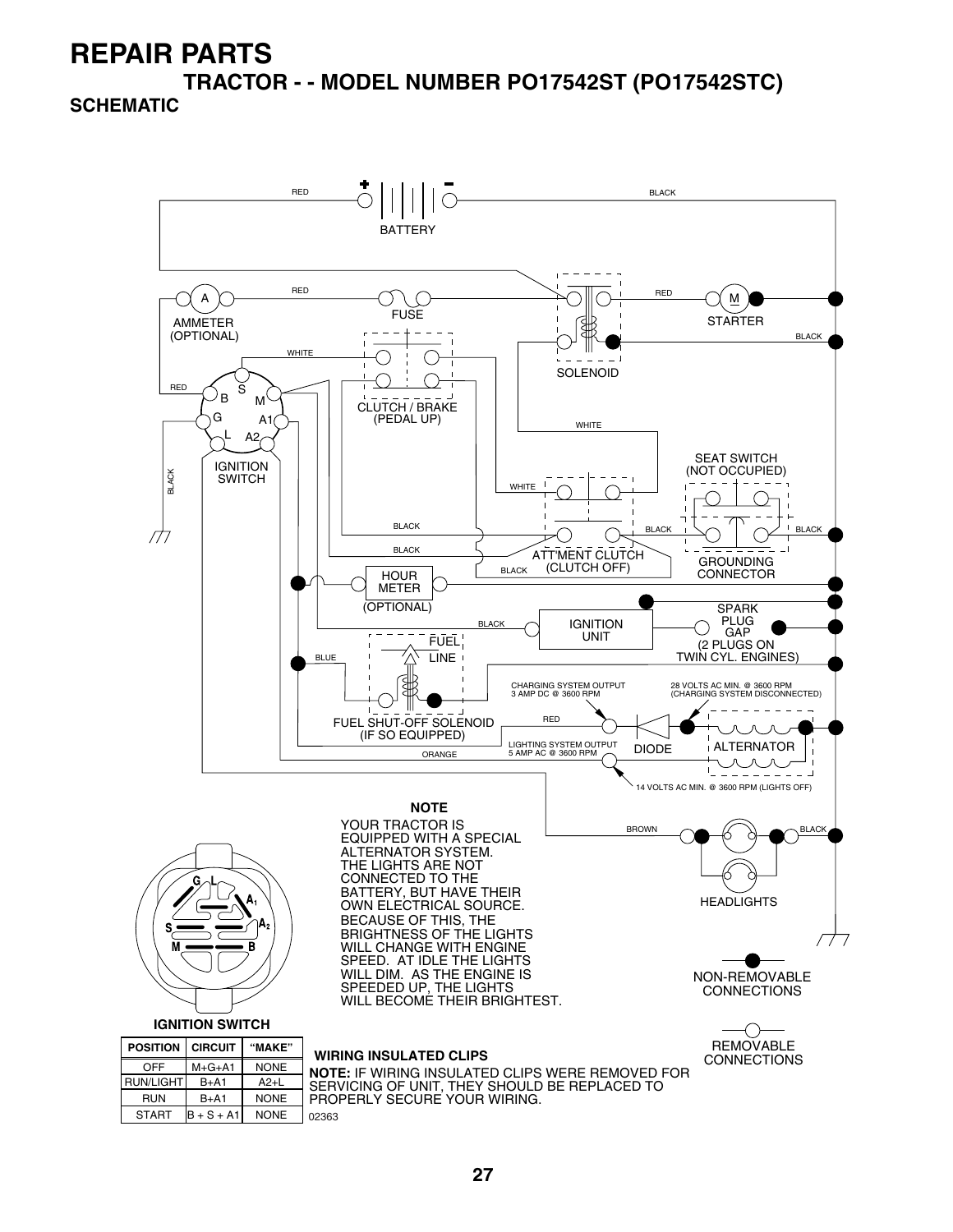### **REPAIR PARTS TRACTOR - - MODEL NUMBER PO17542ST (PO17542STC)**

#### **SCHEMATIC**



**27**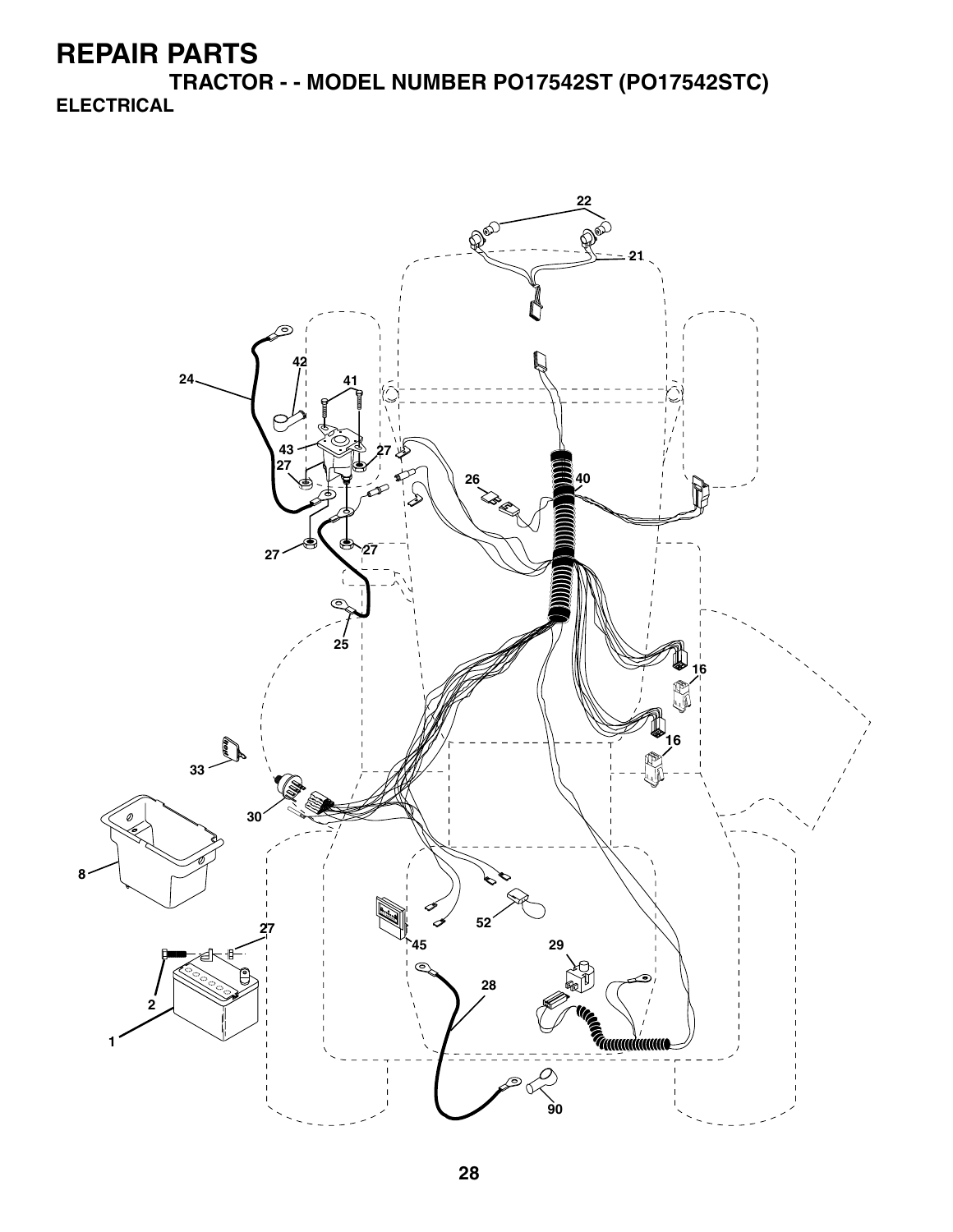**TRACTOR - - MODEL NUMBER PO17542ST (PO17542STC) ELECTRICAL**

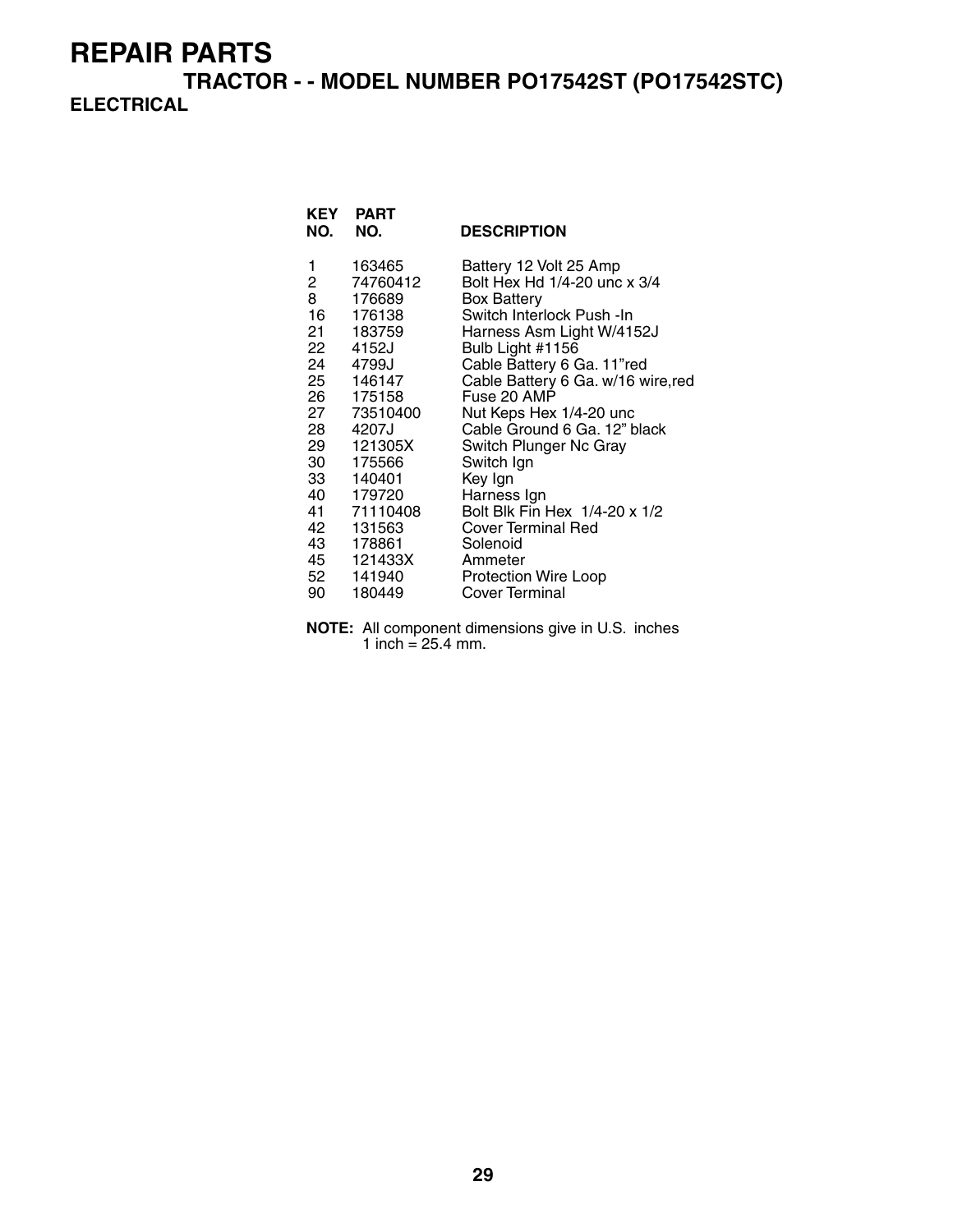**TRACTOR - - MODEL NUMBER PO17542ST (PO17542STC) ELECTRICAL**

| KEY<br>NO.               | <b>PART</b><br>NO.           | <b>DESCRIPTION</b>                                                           |
|--------------------------|------------------------------|------------------------------------------------------------------------------|
| 1<br>$\overline{2}$<br>8 | 163465<br>74760412<br>176689 | Battery 12 Volt 25 Amp<br>Bolt Hex Hd 1/4-20 unc x 3/4<br><b>Box Battery</b> |
| 16                       | 176138<br>21 183759          | Switch Interlock Push -In<br>Harness Asm Light W/4152J                       |
| 22                       | 4152J                        | Bulb Light #1156                                                             |
| 24                       | 4799J<br>25 146147           | Cable Battery 6 Ga. 11"red<br>Cable Battery 6 Ga. w/16 wire, red             |
|                          | 26 175158                    | Fuse 20 AMP                                                                  |
| 28                       | 27 73510400<br>4207J         | Nut Keps Hex 1/4-20 unc<br>Cable Ground 6 Ga. 12" black                      |
|                          | 29 121305X                   | Switch Plunger Nc Gray                                                       |
| 30<br>33                 | 175566<br>140401             | Switch Ign<br>Key Ign                                                        |
| 40                       | 179720                       | Harness Ign                                                                  |
|                          | 41 71110408                  | Bolt Blk Fin Hex 1/4-20 x 1/2                                                |
| 42                       | 131563<br>43 178861          | <b>Cover Terminal Red</b><br>Solenoid                                        |
|                          | 45 121433X                   | Ammeter                                                                      |
| 90 -                     | 52 141940<br>180449          | Protection Wire Loop<br>Cover Terminal                                       |
|                          |                              |                                                                              |

**NOTE:** All component dimensions give in U.S. inches 1 inch =  $25.4$  mm.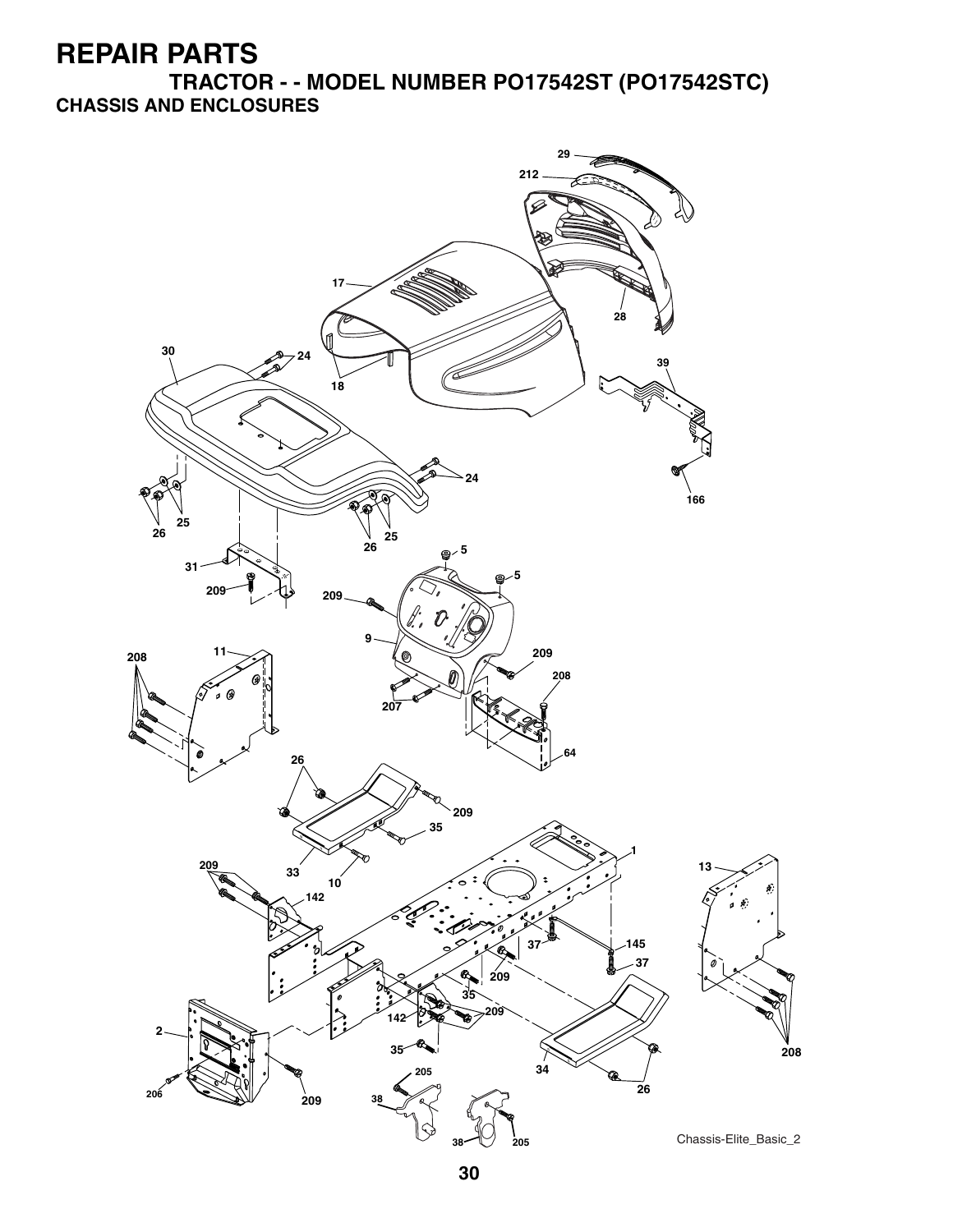**TRACTOR - - MODEL NUMBER PO17542ST (PO17542STC) CHASSIS AND ENCLOSURES**

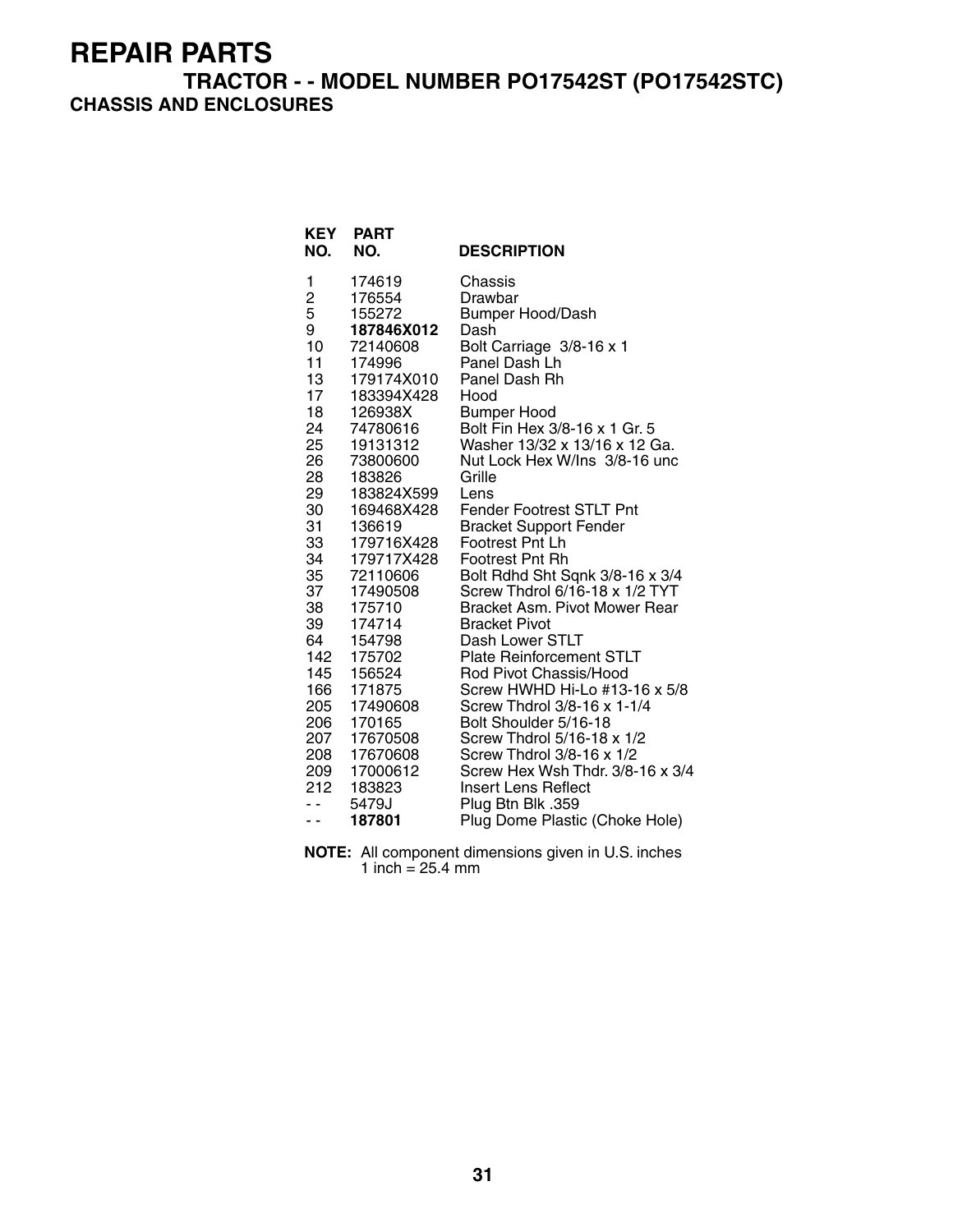#### **TRACTOR - - MODEL NUMBER PO17542ST (PO17542STC) CHASSIS AND ENCLOSURES**

| <b>KEY</b><br>NO. | <b>PART</b><br>NO.   | <b>DESCRIPTION</b>                                               |
|-------------------|----------------------|------------------------------------------------------------------|
| 1                 | 174619               | Chassis                                                          |
| 2<br>5            | 176554               | Drawbar                                                          |
|                   | 155272               | <b>Bumper Hood/Dash</b>                                          |
| 9                 | 187846X012           | Dash                                                             |
| 10                | 72140608             | Bolt Carriage 3/8-16 x 1                                         |
| 11                | 174996               | Panel Dash Lh                                                    |
| 13                | 179174X010           | Panel Dash Rh                                                    |
| 17                | 183394X428           | Hood                                                             |
| 18                | 126938X              | <b>Bumper Hood</b>                                               |
| 24                | 74780616             | Bolt Fin Hex 3/8-16 x 1 Gr. 5                                    |
| 25                | 19131312             | Washer 13/32 x 13/16 x 12 Ga.                                    |
| 26                | 73800600             | Nut Lock Hex W/Ins 3/8-16 unc                                    |
| 28                | 183826               | Grille                                                           |
| 29                | 183824X599           | Lens                                                             |
| 30<br>31          | 169468X428<br>136619 | <b>Fender Footrest STLT Pnt</b><br><b>Bracket Support Fender</b> |
| 33                | 179716X428           | Footrest Pnt Lh                                                  |
| 34                | 179717X428           | <b>Footrest Pnt Rh</b>                                           |
| 35                | 72110606             | Bolt Rdhd Sht Sqnk 3/8-16 x 3/4                                  |
| 37                | 17490508             | Screw Thdrol 6/16-18 x 1/2 TYT                                   |
| 38                | 175710               | Bracket Asm. Pivot Mower Rear                                    |
| 39                | 174714               | <b>Bracket Pivot</b>                                             |
| 64                | 154798               | Dash Lower STLT                                                  |
| 142               | 175702               | <b>Plate Reinforcement STLT</b>                                  |
| 145               | 156524               | Rod Pivot Chassis/Hood                                           |
| 166               | 171875               | Screw HWHD Hi-Lo #13-16 x 5/8                                    |
| 205               | 17490608             | Screw Thdrol 3/8-16 x 1-1/4                                      |
| 206               | 170165               | Bolt Shoulder 5/16-18                                            |
| 207               | 17670508             | Screw Thdrol 5/16-18 x 1/2                                       |
| 208               | 17670608             | Screw Thdrol 3/8-16 x 1/2                                        |
| 209               | 17000612             | Screw Hex Wsh Thdr. 3/8-16 x 3/4                                 |
| 212               | 183823               | Insert Lens Reflect                                              |
| - -               | 5479J                | Plug Btn Blk .359                                                |
| - -               | 187801               | Plug Dome Plastic (Choke Hole)                                   |

**NOTE:** All component dimensions given in U.S. inches 1 inch = 25.4 mm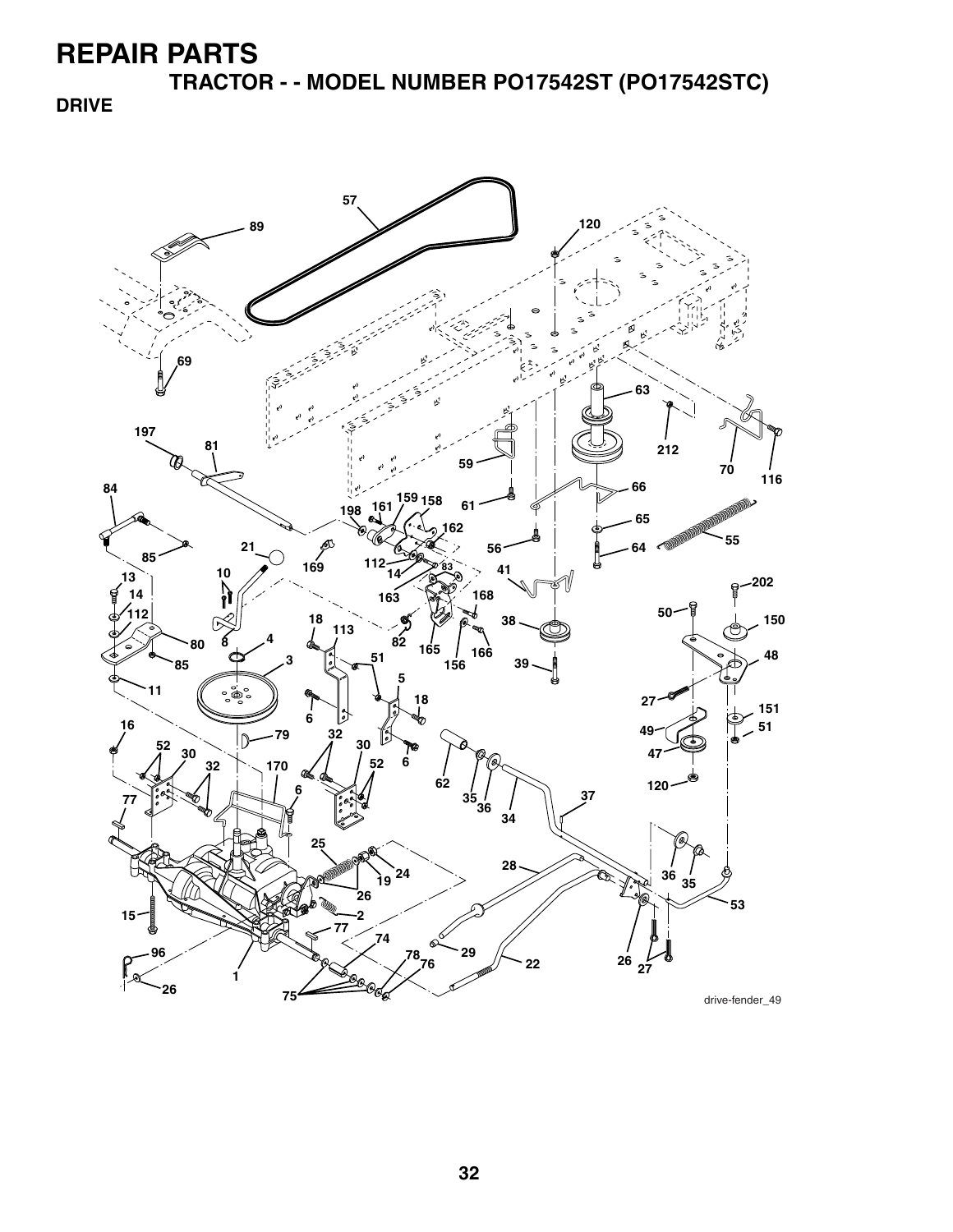**TRACTOR - - MODEL NUMBER PO17542ST (PO17542STC)**

**DRIVE**

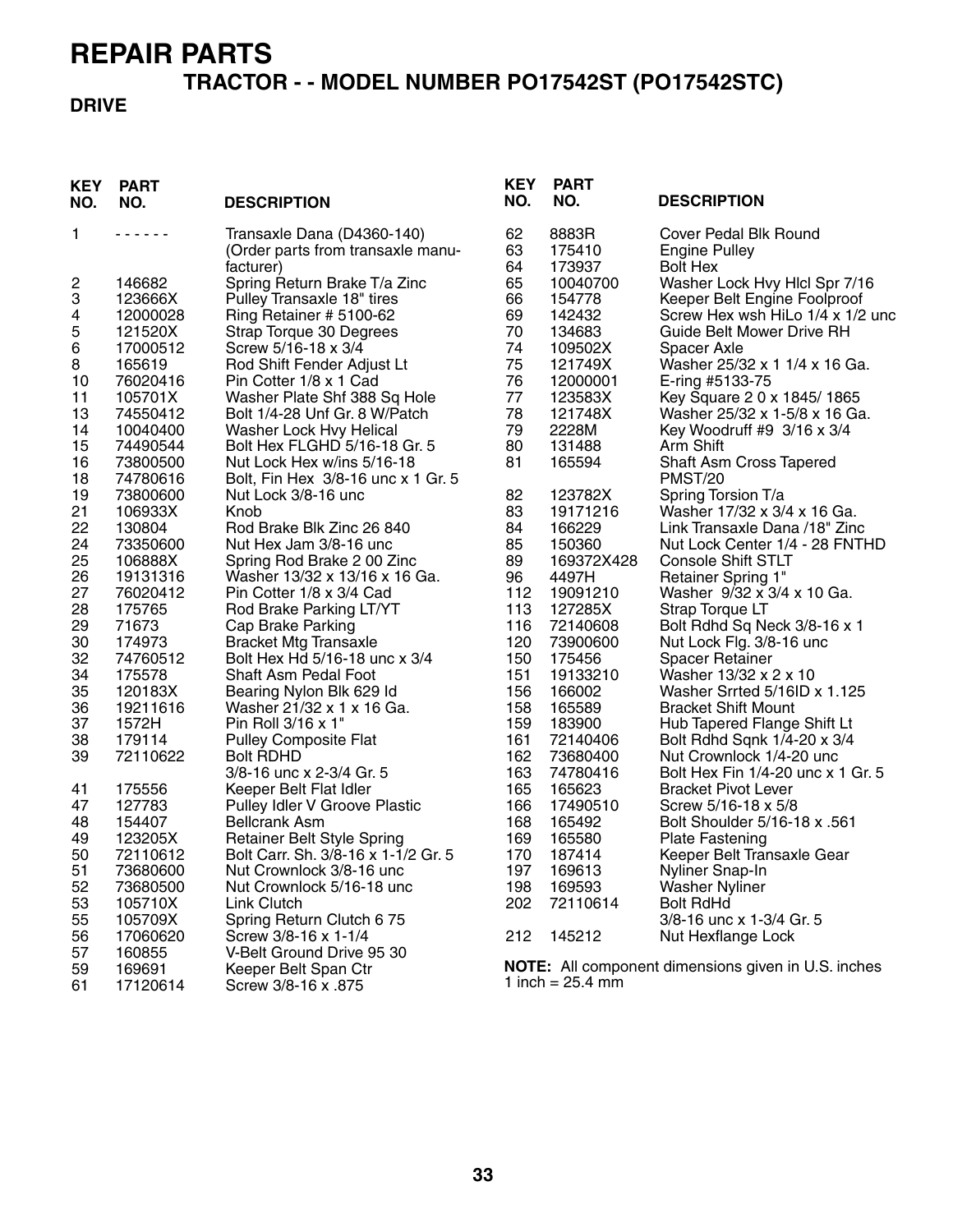# **TRACTOR - - MODEL NUMBER PO17542ST (PO17542STC)**

#### **DRIVE**

| 62<br>1<br>Transaxle Dana (D4360-140)<br>8883R<br>Cover Pedal Blk Round<br>.<br>63<br>175410<br>(Order parts from transaxle manu-<br><b>Engine Pulley</b><br>64<br>173937<br>facturer)<br><b>Bolt Hex</b><br>2<br>65<br>146682<br>Spring Return Brake T/a Zinc<br>10040700<br>Washer Lock Hvy Hlcl Spr 7/16<br>3<br>Pulley Transaxle 18" tires<br>66<br>123666X<br>154778<br>Keeper Belt Engine Foolproof<br>69<br>4<br>Ring Retainer # 5100-62<br>142432<br>Screw Hex wsh HiLo 1/4 x 1/2 unc<br>12000028<br>5<br>70<br>121520X<br>134683<br><b>Guide Belt Mower Drive RH</b><br>Strap Torque 30 Degrees<br>6<br>74<br>17000512<br>Screw 5/16-18 x 3/4<br>109502X<br>Spacer Axle<br>8<br>75<br>165619<br>Rod Shift Fender Adjust Lt<br>121749X<br>Washer 25/32 x 1 1/4 x 16 Ga.<br>76<br>10<br>76020416<br>Pin Cotter 1/8 x 1 Cad<br>12000001<br>E-ring #5133-75<br>77<br>11<br>105701X<br>Washer Plate Shf 388 Sq Hole<br>123583X<br>Key Square 2 0 x 1845/1865<br>78<br>13<br>74550412<br>Bolt 1/4-28 Unf Gr. 8 W/Patch<br>121748X<br>Washer 25/32 x 1-5/8 x 16 Ga.<br>79<br>14<br>10040400<br>Washer Lock Hvy Helical<br>2228M<br>Key Woodruff #9 3/16 x 3/4<br>15<br>74490544<br>Bolt Hex FLGHD 5/16-18 Gr. 5<br>80<br>131488<br>Arm Shift<br>81<br>16<br>73800500<br>Nut Lock Hex w/ins 5/16-18<br>165594<br>Shaft Asm Cross Tapered |  |
|-------------------------------------------------------------------------------------------------------------------------------------------------------------------------------------------------------------------------------------------------------------------------------------------------------------------------------------------------------------------------------------------------------------------------------------------------------------------------------------------------------------------------------------------------------------------------------------------------------------------------------------------------------------------------------------------------------------------------------------------------------------------------------------------------------------------------------------------------------------------------------------------------------------------------------------------------------------------------------------------------------------------------------------------------------------------------------------------------------------------------------------------------------------------------------------------------------------------------------------------------------------------------------------------------------------------------------------------|--|
|                                                                                                                                                                                                                                                                                                                                                                                                                                                                                                                                                                                                                                                                                                                                                                                                                                                                                                                                                                                                                                                                                                                                                                                                                                                                                                                                           |  |
|                                                                                                                                                                                                                                                                                                                                                                                                                                                                                                                                                                                                                                                                                                                                                                                                                                                                                                                                                                                                                                                                                                                                                                                                                                                                                                                                           |  |
|                                                                                                                                                                                                                                                                                                                                                                                                                                                                                                                                                                                                                                                                                                                                                                                                                                                                                                                                                                                                                                                                                                                                                                                                                                                                                                                                           |  |
|                                                                                                                                                                                                                                                                                                                                                                                                                                                                                                                                                                                                                                                                                                                                                                                                                                                                                                                                                                                                                                                                                                                                                                                                                                                                                                                                           |  |
|                                                                                                                                                                                                                                                                                                                                                                                                                                                                                                                                                                                                                                                                                                                                                                                                                                                                                                                                                                                                                                                                                                                                                                                                                                                                                                                                           |  |
|                                                                                                                                                                                                                                                                                                                                                                                                                                                                                                                                                                                                                                                                                                                                                                                                                                                                                                                                                                                                                                                                                                                                                                                                                                                                                                                                           |  |
|                                                                                                                                                                                                                                                                                                                                                                                                                                                                                                                                                                                                                                                                                                                                                                                                                                                                                                                                                                                                                                                                                                                                                                                                                                                                                                                                           |  |
|                                                                                                                                                                                                                                                                                                                                                                                                                                                                                                                                                                                                                                                                                                                                                                                                                                                                                                                                                                                                                                                                                                                                                                                                                                                                                                                                           |  |
|                                                                                                                                                                                                                                                                                                                                                                                                                                                                                                                                                                                                                                                                                                                                                                                                                                                                                                                                                                                                                                                                                                                                                                                                                                                                                                                                           |  |
|                                                                                                                                                                                                                                                                                                                                                                                                                                                                                                                                                                                                                                                                                                                                                                                                                                                                                                                                                                                                                                                                                                                                                                                                                                                                                                                                           |  |
|                                                                                                                                                                                                                                                                                                                                                                                                                                                                                                                                                                                                                                                                                                                                                                                                                                                                                                                                                                                                                                                                                                                                                                                                                                                                                                                                           |  |
|                                                                                                                                                                                                                                                                                                                                                                                                                                                                                                                                                                                                                                                                                                                                                                                                                                                                                                                                                                                                                                                                                                                                                                                                                                                                                                                                           |  |
|                                                                                                                                                                                                                                                                                                                                                                                                                                                                                                                                                                                                                                                                                                                                                                                                                                                                                                                                                                                                                                                                                                                                                                                                                                                                                                                                           |  |
|                                                                                                                                                                                                                                                                                                                                                                                                                                                                                                                                                                                                                                                                                                                                                                                                                                                                                                                                                                                                                                                                                                                                                                                                                                                                                                                                           |  |
| 18<br>74780616<br>Bolt, Fin Hex 3/8-16 unc x 1 Gr. 5<br>PMST/20                                                                                                                                                                                                                                                                                                                                                                                                                                                                                                                                                                                                                                                                                                                                                                                                                                                                                                                                                                                                                                                                                                                                                                                                                                                                           |  |
| 82<br>19<br>73800600<br>Nut Lock 3/8-16 unc<br>123782X<br>Spring Torsion T/a                                                                                                                                                                                                                                                                                                                                                                                                                                                                                                                                                                                                                                                                                                                                                                                                                                                                                                                                                                                                                                                                                                                                                                                                                                                              |  |
| 21<br>83<br>106933X<br>Knob<br>19171216<br>Washer 17/32 x 3/4 x 16 Ga.                                                                                                                                                                                                                                                                                                                                                                                                                                                                                                                                                                                                                                                                                                                                                                                                                                                                                                                                                                                                                                                                                                                                                                                                                                                                    |  |
| 22<br>84<br>130804<br>Rod Brake Blk Zinc 26 840<br>166229<br>Link Transaxle Dana /18" Zinc                                                                                                                                                                                                                                                                                                                                                                                                                                                                                                                                                                                                                                                                                                                                                                                                                                                                                                                                                                                                                                                                                                                                                                                                                                                |  |
| 24<br>85<br>73350600<br>Nut Hex Jam 3/8-16 unc<br>150360<br>Nut Lock Center 1/4 - 28 FNTHD                                                                                                                                                                                                                                                                                                                                                                                                                                                                                                                                                                                                                                                                                                                                                                                                                                                                                                                                                                                                                                                                                                                                                                                                                                                |  |
| 25<br>89<br>106888X<br>Spring Rod Brake 2 00 Zinc<br>169372X428<br><b>Console Shift STLT</b>                                                                                                                                                                                                                                                                                                                                                                                                                                                                                                                                                                                                                                                                                                                                                                                                                                                                                                                                                                                                                                                                                                                                                                                                                                              |  |
| 26<br>19131316<br>Washer 13/32 x 13/16 x 16 Ga.<br>96<br>4497H<br><b>Retainer Spring 1"</b>                                                                                                                                                                                                                                                                                                                                                                                                                                                                                                                                                                                                                                                                                                                                                                                                                                                                                                                                                                                                                                                                                                                                                                                                                                               |  |
| 27<br>76020412<br>Pin Cotter 1/8 x 3/4 Cad<br>112<br>19091210<br>Washer 9/32 x 3/4 x 10 Ga.                                                                                                                                                                                                                                                                                                                                                                                                                                                                                                                                                                                                                                                                                                                                                                                                                                                                                                                                                                                                                                                                                                                                                                                                                                               |  |
| 28<br>113<br>175765<br>127285X<br>Strap Torque LT<br>Rod Brake Parking LT/YT                                                                                                                                                                                                                                                                                                                                                                                                                                                                                                                                                                                                                                                                                                                                                                                                                                                                                                                                                                                                                                                                                                                                                                                                                                                              |  |
| 29<br>71673<br>116<br>Cap Brake Parking<br>72140608<br>Bolt Rdhd Sq Neck 3/8-16 x 1                                                                                                                                                                                                                                                                                                                                                                                                                                                                                                                                                                                                                                                                                                                                                                                                                                                                                                                                                                                                                                                                                                                                                                                                                                                       |  |
| 30<br>174973<br><b>Bracket Mtg Transaxle</b><br>120<br>73900600<br>Nut Lock Flg. 3/8-16 unc                                                                                                                                                                                                                                                                                                                                                                                                                                                                                                                                                                                                                                                                                                                                                                                                                                                                                                                                                                                                                                                                                                                                                                                                                                               |  |
| 32<br>74760512<br>Bolt Hex Hd 5/16-18 unc x 3/4<br>150<br>175456<br><b>Spacer Retainer</b>                                                                                                                                                                                                                                                                                                                                                                                                                                                                                                                                                                                                                                                                                                                                                                                                                                                                                                                                                                                                                                                                                                                                                                                                                                                |  |
| 34<br>151<br>175578<br>Shaft Asm Pedal Foot<br>19133210<br>Washer 13/32 x 2 x 10                                                                                                                                                                                                                                                                                                                                                                                                                                                                                                                                                                                                                                                                                                                                                                                                                                                                                                                                                                                                                                                                                                                                                                                                                                                          |  |
| 35<br>156<br>120183X<br>166002<br>Washer Srrted 5/16ID x 1.125<br>Bearing Nylon Blk 629 Id                                                                                                                                                                                                                                                                                                                                                                                                                                                                                                                                                                                                                                                                                                                                                                                                                                                                                                                                                                                                                                                                                                                                                                                                                                                |  |
| 36<br>19211616<br>Washer 21/32 x 1 x 16 Ga.<br>158<br>165589<br><b>Bracket Shift Mount</b>                                                                                                                                                                                                                                                                                                                                                                                                                                                                                                                                                                                                                                                                                                                                                                                                                                                                                                                                                                                                                                                                                                                                                                                                                                                |  |
| 37<br>1572H<br>Pin Roll 3/16 x 1"<br>159<br>183900<br>Hub Tapered Flange Shift Lt                                                                                                                                                                                                                                                                                                                                                                                                                                                                                                                                                                                                                                                                                                                                                                                                                                                                                                                                                                                                                                                                                                                                                                                                                                                         |  |
| 38<br>161<br>179114<br><b>Pulley Composite Flat</b><br>72140406<br>Bolt Rdhd Sqnk 1/4-20 x 3/4                                                                                                                                                                                                                                                                                                                                                                                                                                                                                                                                                                                                                                                                                                                                                                                                                                                                                                                                                                                                                                                                                                                                                                                                                                            |  |
| 39<br>162<br>72110622<br><b>Bolt RDHD</b><br>73680400<br>Nut Crownlock 1/4-20 unc                                                                                                                                                                                                                                                                                                                                                                                                                                                                                                                                                                                                                                                                                                                                                                                                                                                                                                                                                                                                                                                                                                                                                                                                                                                         |  |
| 3/8-16 unc x 2-3/4 Gr. 5<br>163<br>74780416<br>Bolt Hex Fin 1/4-20 unc x 1 Gr. 5                                                                                                                                                                                                                                                                                                                                                                                                                                                                                                                                                                                                                                                                                                                                                                                                                                                                                                                                                                                                                                                                                                                                                                                                                                                          |  |
| 175556<br>165<br>165623<br><b>Bracket Pivot Lever</b><br>41<br>Keeper Belt Flat Idler                                                                                                                                                                                                                                                                                                                                                                                                                                                                                                                                                                                                                                                                                                                                                                                                                                                                                                                                                                                                                                                                                                                                                                                                                                                     |  |
| 166<br>127783<br>Pulley Idler V Groove Plastic<br>17490510<br>Screw 5/16-18 x 5/8<br>47                                                                                                                                                                                                                                                                                                                                                                                                                                                                                                                                                                                                                                                                                                                                                                                                                                                                                                                                                                                                                                                                                                                                                                                                                                                   |  |
| 168<br>48<br>154407<br><b>Bellcrank Asm</b><br>165492<br>Bolt Shoulder 5/16-18 x .561                                                                                                                                                                                                                                                                                                                                                                                                                                                                                                                                                                                                                                                                                                                                                                                                                                                                                                                                                                                                                                                                                                                                                                                                                                                     |  |
| 49<br>123205X<br><b>Retainer Belt Style Spring</b><br>169<br>165580<br><b>Plate Fastening</b>                                                                                                                                                                                                                                                                                                                                                                                                                                                                                                                                                                                                                                                                                                                                                                                                                                                                                                                                                                                                                                                                                                                                                                                                                                             |  |
| 50<br>Bolt Carr. Sh. 3/8-16 x 1-1/2 Gr. 5<br>170<br>187414<br>72110612<br>Keeper Belt Transaxle Gear                                                                                                                                                                                                                                                                                                                                                                                                                                                                                                                                                                                                                                                                                                                                                                                                                                                                                                                                                                                                                                                                                                                                                                                                                                      |  |
| 51<br>73680600<br>197<br>169613<br>Nut Crownlock 3/8-16 unc<br>Nyliner Snap-In                                                                                                                                                                                                                                                                                                                                                                                                                                                                                                                                                                                                                                                                                                                                                                                                                                                                                                                                                                                                                                                                                                                                                                                                                                                            |  |
| 52<br>Nut Crownlock 5/16-18 unc<br>73680500<br>198<br>169593<br><b>Washer Nyliner</b>                                                                                                                                                                                                                                                                                                                                                                                                                                                                                                                                                                                                                                                                                                                                                                                                                                                                                                                                                                                                                                                                                                                                                                                                                                                     |  |
| 53<br>Link Clutch<br>202<br>72110614<br><b>Bolt RdHd</b><br>105710X                                                                                                                                                                                                                                                                                                                                                                                                                                                                                                                                                                                                                                                                                                                                                                                                                                                                                                                                                                                                                                                                                                                                                                                                                                                                       |  |
| 55<br>Spring Return Clutch 675<br>3/8-16 unc x 1-3/4 Gr. 5<br>105709X<br>17060620<br>Screw 3/8-16 x 1-1/4                                                                                                                                                                                                                                                                                                                                                                                                                                                                                                                                                                                                                                                                                                                                                                                                                                                                                                                                                                                                                                                                                                                                                                                                                                 |  |
| 56<br>145212<br>Nut Hexflange Lock<br>212<br>57<br>160855<br>V-Belt Ground Drive 95 30                                                                                                                                                                                                                                                                                                                                                                                                                                                                                                                                                                                                                                                                                                                                                                                                                                                                                                                                                                                                                                                                                                                                                                                                                                                    |  |
| <b>NOTE:</b> All component dimensions given in U.S. inches<br>59<br>169691<br>Keeper Belt Span Ctr                                                                                                                                                                                                                                                                                                                                                                                                                                                                                                                                                                                                                                                                                                                                                                                                                                                                                                                                                                                                                                                                                                                                                                                                                                        |  |
| 1 inch = $25.4 \, \text{mm}$<br>61<br>17120614<br>Screw 3/8-16 x .875                                                                                                                                                                                                                                                                                                                                                                                                                                                                                                                                                                                                                                                                                                                                                                                                                                                                                                                                                                                                                                                                                                                                                                                                                                                                     |  |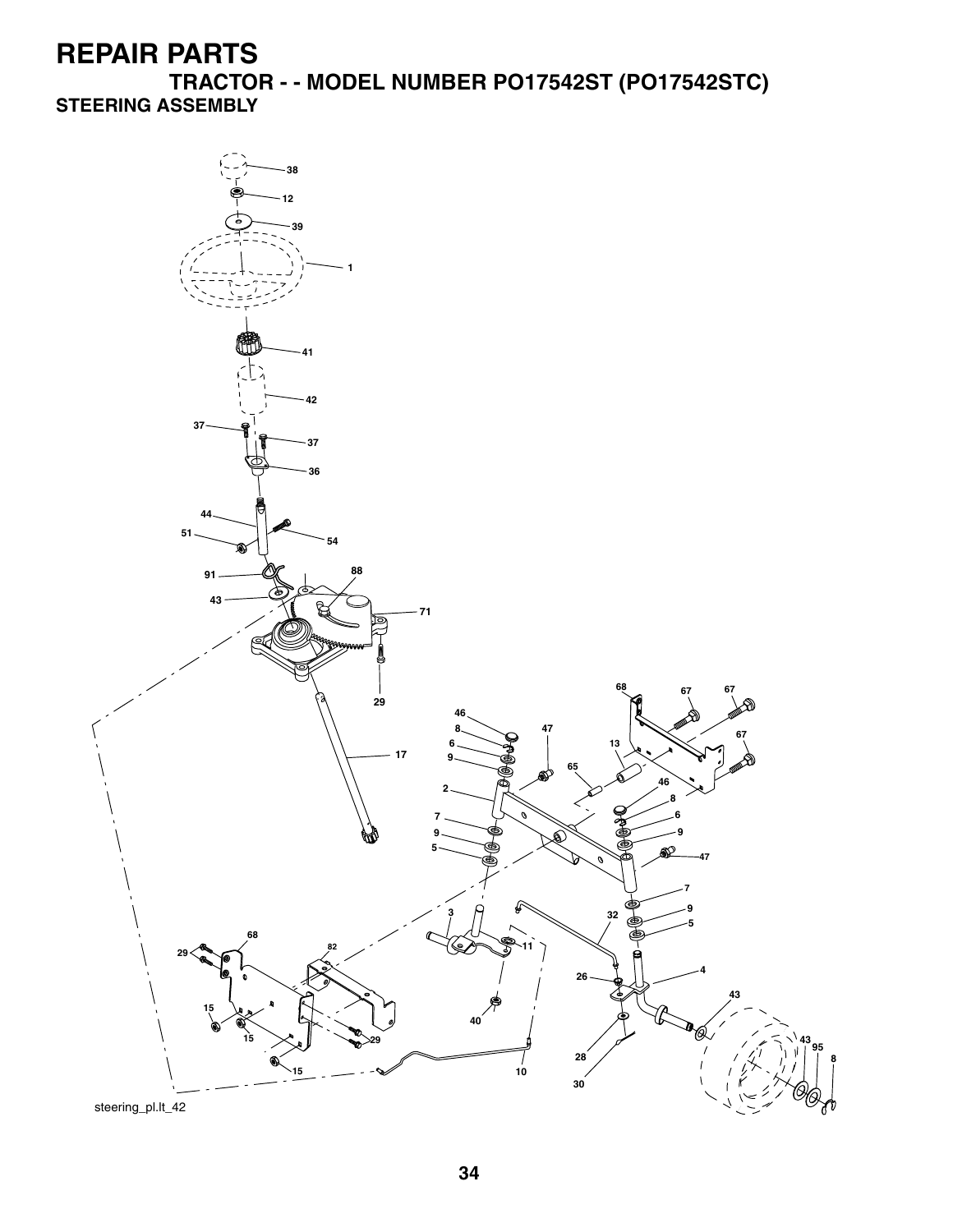**TRACTOR - - MODEL NUMBER PO17542ST (PO17542STC) STEERING ASSEMBLY**

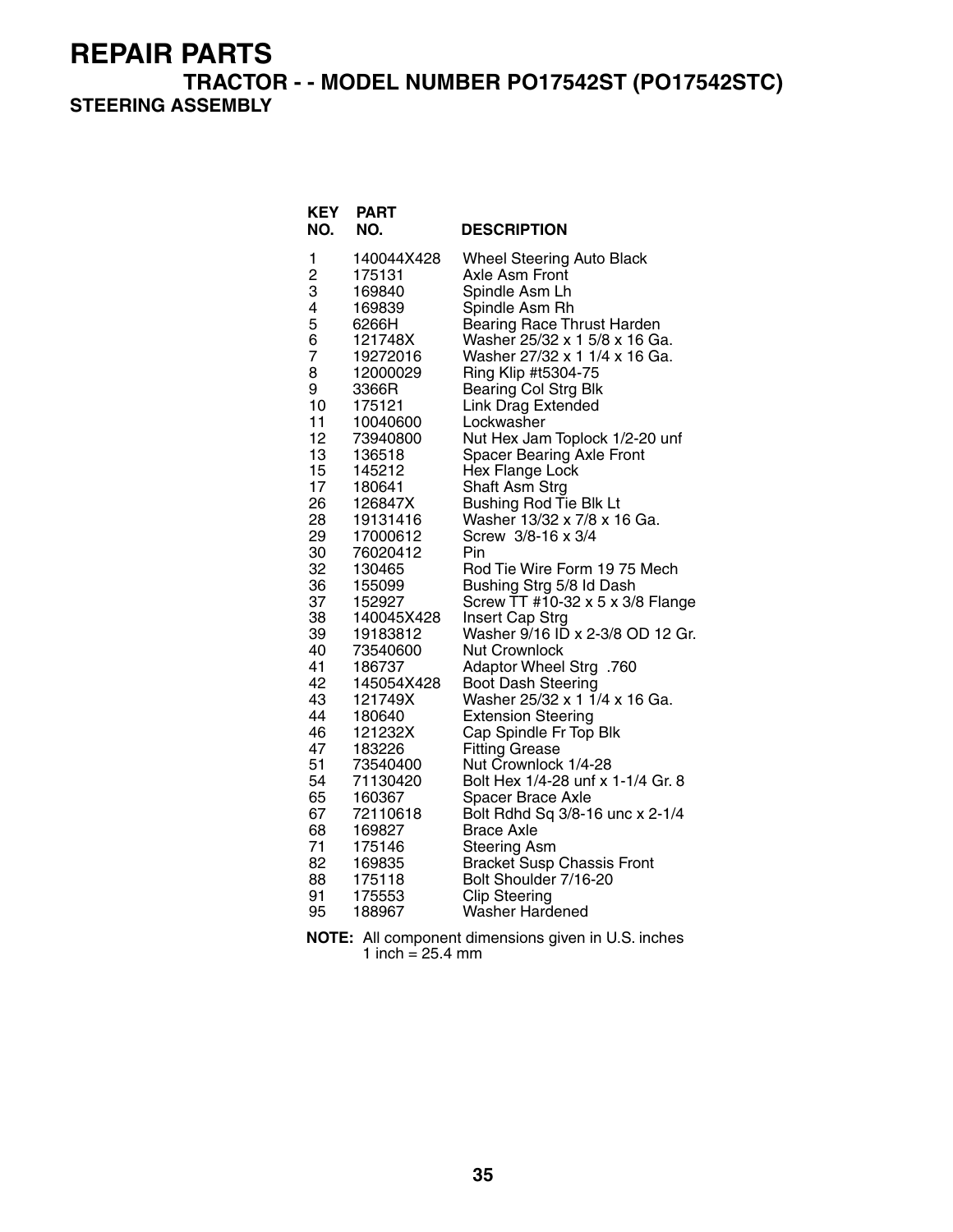#### **TRACTOR - - MODEL NUMBER PO17542ST (PO17542STC) STEERING ASSEMBLY**

| 140044X428<br><b>Wheel Steering Auto Black</b><br>1<br>2<br>Axle Asm Front<br>175131<br>3<br>169840<br>Spindle Asm Lh<br>4<br>169839<br>Spindle Asm Rh<br>5<br>Bearing Race Thrust Harden<br>6266H<br>Washer 25/32 x 1 5/8 x 16 Ga.<br>6<br>121748X<br>7<br>Washer 27/32 x 1 1/4 x 16 Ga.<br>19272016<br>Ring Klip #t5304-75<br>8<br>12000029<br>9<br>3366R<br><b>Bearing Col Strg Blk</b><br><b>Link Drag Extended</b><br>10<br>175121<br>11<br>Lockwasher<br>10040600<br>12<br>Nut Hex Jam Toplock 1/2-20 unf<br>73940800<br>13<br>136518<br><b>Spacer Bearing Axle Front</b><br>15<br>145212<br>Hex Flange Lock<br>17<br>180641<br>Shaft Asm Strg<br>26<br>Bushing Rod Tie Blk Lt<br>126847X<br>Washer 13/32 x 7/8 x 16 Ga.<br>28<br>19131416<br>29<br>17000612<br>Screw 3/8-16 x 3/4<br>30<br>Pin<br>76020412<br>32<br>Rod Tie Wire Form 19 75 Mech<br>130465<br>36<br>Bushing Strg 5/8 Id Dash<br>155099<br>37<br>Screw TT #10-32 x 5 x 3/8 Flange<br>152927<br>38<br>Insert Cap Strg<br>140045X428<br>Washer 9/16 ID x 2-3/8 OD 12 Gr.<br>39<br>19183812<br>40<br>73540600<br><b>Nut Crownlock</b><br>41<br>186737<br>Adaptor Wheel Strg .760<br>42<br>145054X428<br><b>Boot Dash Steering</b><br>Washer 25/32 x 1 1/4 x 16 Ga.<br>43<br>121749X<br>44<br>180640<br><b>Extension Steering</b><br>46<br>121232X<br>Cap Spindle Fr Top Blk<br>47<br>183226<br><b>Fitting Grease</b> | <b>KEY</b><br>NO. | <b>PART</b><br>NO. | <b>DESCRIPTION</b> |
|-----------------------------------------------------------------------------------------------------------------------------------------------------------------------------------------------------------------------------------------------------------------------------------------------------------------------------------------------------------------------------------------------------------------------------------------------------------------------------------------------------------------------------------------------------------------------------------------------------------------------------------------------------------------------------------------------------------------------------------------------------------------------------------------------------------------------------------------------------------------------------------------------------------------------------------------------------------------------------------------------------------------------------------------------------------------------------------------------------------------------------------------------------------------------------------------------------------------------------------------------------------------------------------------------------------------------------------------------------------------------------------------|-------------------|--------------------|--------------------|
|                                                                                                                                                                                                                                                                                                                                                                                                                                                                                                                                                                                                                                                                                                                                                                                                                                                                                                                                                                                                                                                                                                                                                                                                                                                                                                                                                                                         |                   |                    |                    |
|                                                                                                                                                                                                                                                                                                                                                                                                                                                                                                                                                                                                                                                                                                                                                                                                                                                                                                                                                                                                                                                                                                                                                                                                                                                                                                                                                                                         |                   |                    |                    |
|                                                                                                                                                                                                                                                                                                                                                                                                                                                                                                                                                                                                                                                                                                                                                                                                                                                                                                                                                                                                                                                                                                                                                                                                                                                                                                                                                                                         |                   |                    |                    |
|                                                                                                                                                                                                                                                                                                                                                                                                                                                                                                                                                                                                                                                                                                                                                                                                                                                                                                                                                                                                                                                                                                                                                                                                                                                                                                                                                                                         |                   |                    |                    |
|                                                                                                                                                                                                                                                                                                                                                                                                                                                                                                                                                                                                                                                                                                                                                                                                                                                                                                                                                                                                                                                                                                                                                                                                                                                                                                                                                                                         |                   |                    |                    |
|                                                                                                                                                                                                                                                                                                                                                                                                                                                                                                                                                                                                                                                                                                                                                                                                                                                                                                                                                                                                                                                                                                                                                                                                                                                                                                                                                                                         |                   |                    |                    |
|                                                                                                                                                                                                                                                                                                                                                                                                                                                                                                                                                                                                                                                                                                                                                                                                                                                                                                                                                                                                                                                                                                                                                                                                                                                                                                                                                                                         |                   |                    |                    |
|                                                                                                                                                                                                                                                                                                                                                                                                                                                                                                                                                                                                                                                                                                                                                                                                                                                                                                                                                                                                                                                                                                                                                                                                                                                                                                                                                                                         |                   |                    |                    |
|                                                                                                                                                                                                                                                                                                                                                                                                                                                                                                                                                                                                                                                                                                                                                                                                                                                                                                                                                                                                                                                                                                                                                                                                                                                                                                                                                                                         |                   |                    |                    |
|                                                                                                                                                                                                                                                                                                                                                                                                                                                                                                                                                                                                                                                                                                                                                                                                                                                                                                                                                                                                                                                                                                                                                                                                                                                                                                                                                                                         |                   |                    |                    |
|                                                                                                                                                                                                                                                                                                                                                                                                                                                                                                                                                                                                                                                                                                                                                                                                                                                                                                                                                                                                                                                                                                                                                                                                                                                                                                                                                                                         |                   |                    |                    |
|                                                                                                                                                                                                                                                                                                                                                                                                                                                                                                                                                                                                                                                                                                                                                                                                                                                                                                                                                                                                                                                                                                                                                                                                                                                                                                                                                                                         |                   |                    |                    |
|                                                                                                                                                                                                                                                                                                                                                                                                                                                                                                                                                                                                                                                                                                                                                                                                                                                                                                                                                                                                                                                                                                                                                                                                                                                                                                                                                                                         |                   |                    |                    |
|                                                                                                                                                                                                                                                                                                                                                                                                                                                                                                                                                                                                                                                                                                                                                                                                                                                                                                                                                                                                                                                                                                                                                                                                                                                                                                                                                                                         |                   |                    |                    |
|                                                                                                                                                                                                                                                                                                                                                                                                                                                                                                                                                                                                                                                                                                                                                                                                                                                                                                                                                                                                                                                                                                                                                                                                                                                                                                                                                                                         |                   |                    |                    |
|                                                                                                                                                                                                                                                                                                                                                                                                                                                                                                                                                                                                                                                                                                                                                                                                                                                                                                                                                                                                                                                                                                                                                                                                                                                                                                                                                                                         |                   |                    |                    |
|                                                                                                                                                                                                                                                                                                                                                                                                                                                                                                                                                                                                                                                                                                                                                                                                                                                                                                                                                                                                                                                                                                                                                                                                                                                                                                                                                                                         |                   |                    |                    |
|                                                                                                                                                                                                                                                                                                                                                                                                                                                                                                                                                                                                                                                                                                                                                                                                                                                                                                                                                                                                                                                                                                                                                                                                                                                                                                                                                                                         |                   |                    |                    |
|                                                                                                                                                                                                                                                                                                                                                                                                                                                                                                                                                                                                                                                                                                                                                                                                                                                                                                                                                                                                                                                                                                                                                                                                                                                                                                                                                                                         |                   |                    |                    |
|                                                                                                                                                                                                                                                                                                                                                                                                                                                                                                                                                                                                                                                                                                                                                                                                                                                                                                                                                                                                                                                                                                                                                                                                                                                                                                                                                                                         |                   |                    |                    |
|                                                                                                                                                                                                                                                                                                                                                                                                                                                                                                                                                                                                                                                                                                                                                                                                                                                                                                                                                                                                                                                                                                                                                                                                                                                                                                                                                                                         |                   |                    |                    |
|                                                                                                                                                                                                                                                                                                                                                                                                                                                                                                                                                                                                                                                                                                                                                                                                                                                                                                                                                                                                                                                                                                                                                                                                                                                                                                                                                                                         |                   |                    |                    |
|                                                                                                                                                                                                                                                                                                                                                                                                                                                                                                                                                                                                                                                                                                                                                                                                                                                                                                                                                                                                                                                                                                                                                                                                                                                                                                                                                                                         |                   |                    |                    |
|                                                                                                                                                                                                                                                                                                                                                                                                                                                                                                                                                                                                                                                                                                                                                                                                                                                                                                                                                                                                                                                                                                                                                                                                                                                                                                                                                                                         |                   |                    |                    |
|                                                                                                                                                                                                                                                                                                                                                                                                                                                                                                                                                                                                                                                                                                                                                                                                                                                                                                                                                                                                                                                                                                                                                                                                                                                                                                                                                                                         |                   |                    |                    |
|                                                                                                                                                                                                                                                                                                                                                                                                                                                                                                                                                                                                                                                                                                                                                                                                                                                                                                                                                                                                                                                                                                                                                                                                                                                                                                                                                                                         |                   |                    |                    |
|                                                                                                                                                                                                                                                                                                                                                                                                                                                                                                                                                                                                                                                                                                                                                                                                                                                                                                                                                                                                                                                                                                                                                                                                                                                                                                                                                                                         |                   |                    |                    |
|                                                                                                                                                                                                                                                                                                                                                                                                                                                                                                                                                                                                                                                                                                                                                                                                                                                                                                                                                                                                                                                                                                                                                                                                                                                                                                                                                                                         |                   |                    |                    |
|                                                                                                                                                                                                                                                                                                                                                                                                                                                                                                                                                                                                                                                                                                                                                                                                                                                                                                                                                                                                                                                                                                                                                                                                                                                                                                                                                                                         |                   |                    |                    |
| 51                                                                                                                                                                                                                                                                                                                                                                                                                                                                                                                                                                                                                                                                                                                                                                                                                                                                                                                                                                                                                                                                                                                                                                                                                                                                                                                                                                                      |                   |                    |                    |
| Nut Crownlock 1/4-28<br>73540400<br>54<br>Bolt Hex 1/4-28 unf x 1-1/4 Gr. 8<br>71130420                                                                                                                                                                                                                                                                                                                                                                                                                                                                                                                                                                                                                                                                                                                                                                                                                                                                                                                                                                                                                                                                                                                                                                                                                                                                                                 |                   |                    |                    |
| 65<br>160367<br>Spacer Brace Axle                                                                                                                                                                                                                                                                                                                                                                                                                                                                                                                                                                                                                                                                                                                                                                                                                                                                                                                                                                                                                                                                                                                                                                                                                                                                                                                                                       |                   |                    |                    |
| 67<br>Bolt Rdhd Sq 3/8-16 unc x 2-1/4<br>72110618                                                                                                                                                                                                                                                                                                                                                                                                                                                                                                                                                                                                                                                                                                                                                                                                                                                                                                                                                                                                                                                                                                                                                                                                                                                                                                                                       |                   |                    |                    |
| 68<br>169827<br><b>Brace Axle</b>                                                                                                                                                                                                                                                                                                                                                                                                                                                                                                                                                                                                                                                                                                                                                                                                                                                                                                                                                                                                                                                                                                                                                                                                                                                                                                                                                       |                   |                    |                    |
| 71<br>175146<br><b>Steering Asm</b>                                                                                                                                                                                                                                                                                                                                                                                                                                                                                                                                                                                                                                                                                                                                                                                                                                                                                                                                                                                                                                                                                                                                                                                                                                                                                                                                                     |                   |                    |                    |
| 82<br>169835<br><b>Bracket Susp Chassis Front</b>                                                                                                                                                                                                                                                                                                                                                                                                                                                                                                                                                                                                                                                                                                                                                                                                                                                                                                                                                                                                                                                                                                                                                                                                                                                                                                                                       |                   |                    |                    |
| Bolt Shoulder 7/16-20<br>88<br>175118                                                                                                                                                                                                                                                                                                                                                                                                                                                                                                                                                                                                                                                                                                                                                                                                                                                                                                                                                                                                                                                                                                                                                                                                                                                                                                                                                   |                   |                    |                    |
| 91<br>175553<br><b>Clip Steering</b>                                                                                                                                                                                                                                                                                                                                                                                                                                                                                                                                                                                                                                                                                                                                                                                                                                                                                                                                                                                                                                                                                                                                                                                                                                                                                                                                                    |                   |                    |                    |
| 95<br>188967<br>Washer Hardened                                                                                                                                                                                                                                                                                                                                                                                                                                                                                                                                                                                                                                                                                                                                                                                                                                                                                                                                                                                                                                                                                                                                                                                                                                                                                                                                                         |                   |                    |                    |

**NOTE:** All component dimensions given in U.S. inches 1 inch  $= 25.4$  mm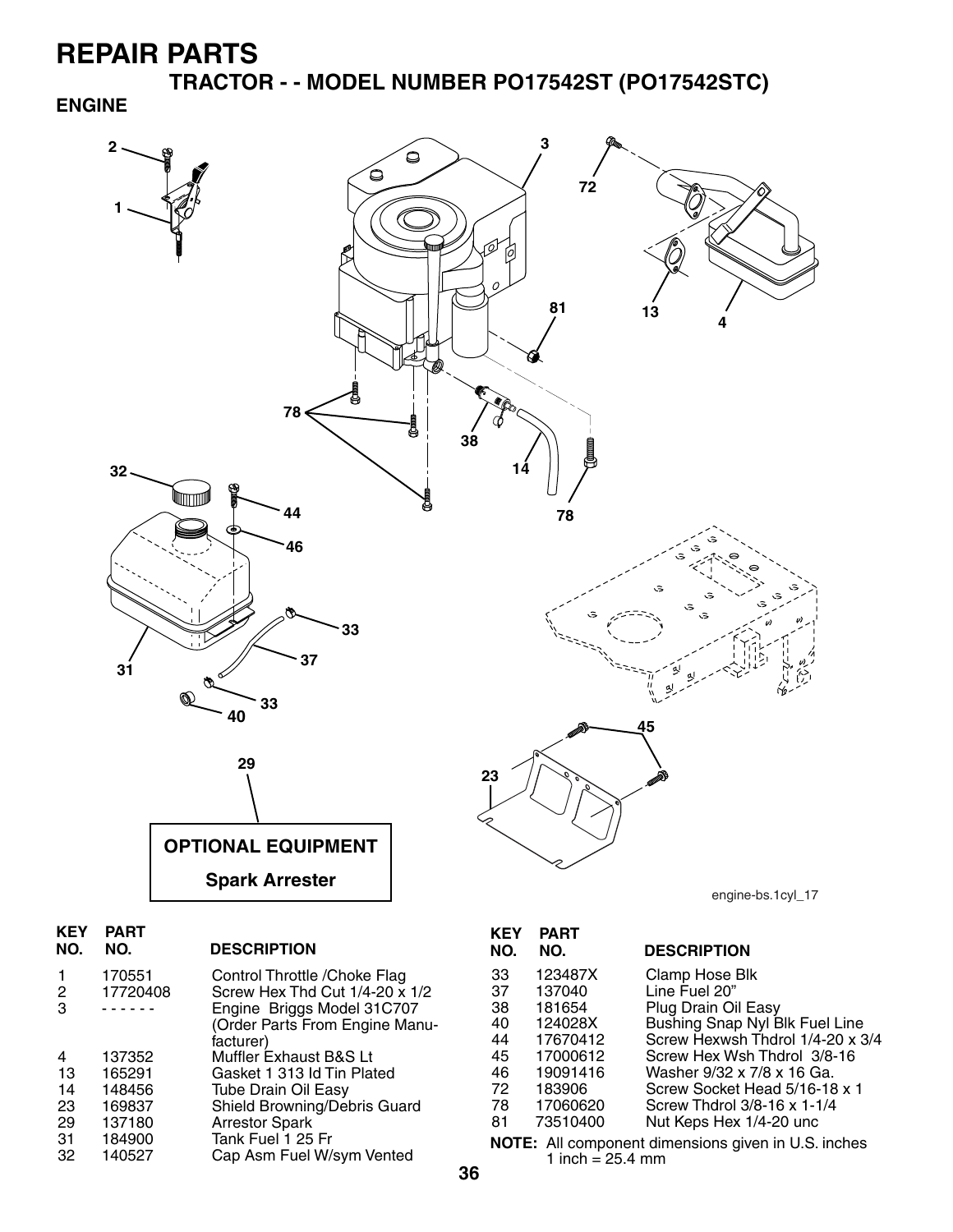**TRACTOR - - MODEL NUMBER PO17542ST (PO17542STC)**

#### **ENGINE**



| 2<br>3 | 170551<br>17720408 | Control Throttle / Choke Flag<br>Screw Hex Thd Cut 1/4-20 x 1/2<br>Engine Briggs Model 31C707<br>(Order Parts From Engine Manu-<br>facturer) |
|--------|--------------------|----------------------------------------------------------------------------------------------------------------------------------------------|
| 4      | 137352             | Muffler Exhaust B&S Lt                                                                                                                       |
| 13     | 165291             | Gasket 1 313 Id Tin Plated                                                                                                                   |
| 14     | 148456             | <b>Tube Drain Oil Easy</b>                                                                                                                   |
| 23     | 169837             | Shield Browning/Debris Guard                                                                                                                 |
| 29     | 137180             | <b>Arrestor Spark</b>                                                                                                                        |
| 31     | 184900             | Tank Fuel 1 25 Fr                                                                                                                            |
| 32     | 140527             | Cap Asm Fuel W/sym Vented                                                                                                                    |

| NO. | NO.      | <b>DESCRIPTION</b>                                         |
|-----|----------|------------------------------------------------------------|
| 33  | 123487X  | Clamp Hose Blk                                             |
| 37  | 137040   | Line Fuel 20"                                              |
| 38  | 181654   | Plug Drain Oil Easy                                        |
| 40  | 124028X  | Bushing Snap Nyl Blk Fuel Line                             |
| 44  | 17670412 | Screw Hexwsh Thdrol 1/4-20 x 3/4                           |
| 45  | 17000612 | Screw Hex Wsh Thdrol 3/8-16                                |
| 46  | 19091416 | Washer 9/32 x 7/8 x 16 Ga.                                 |
| 72  | 183906   | Screw Socket Head 5/16-18 x 1                              |
| 78  | 17060620 | Screw Thdrol 3/8-16 x 1-1/4                                |
| 81  | 73510400 | Nut Keps Hex 1/4-20 unc                                    |
|     |          | <b>NOTE:</b> All component dimensions given in U.S. inches |

1 inch =  $25.4 \, \text{mm}$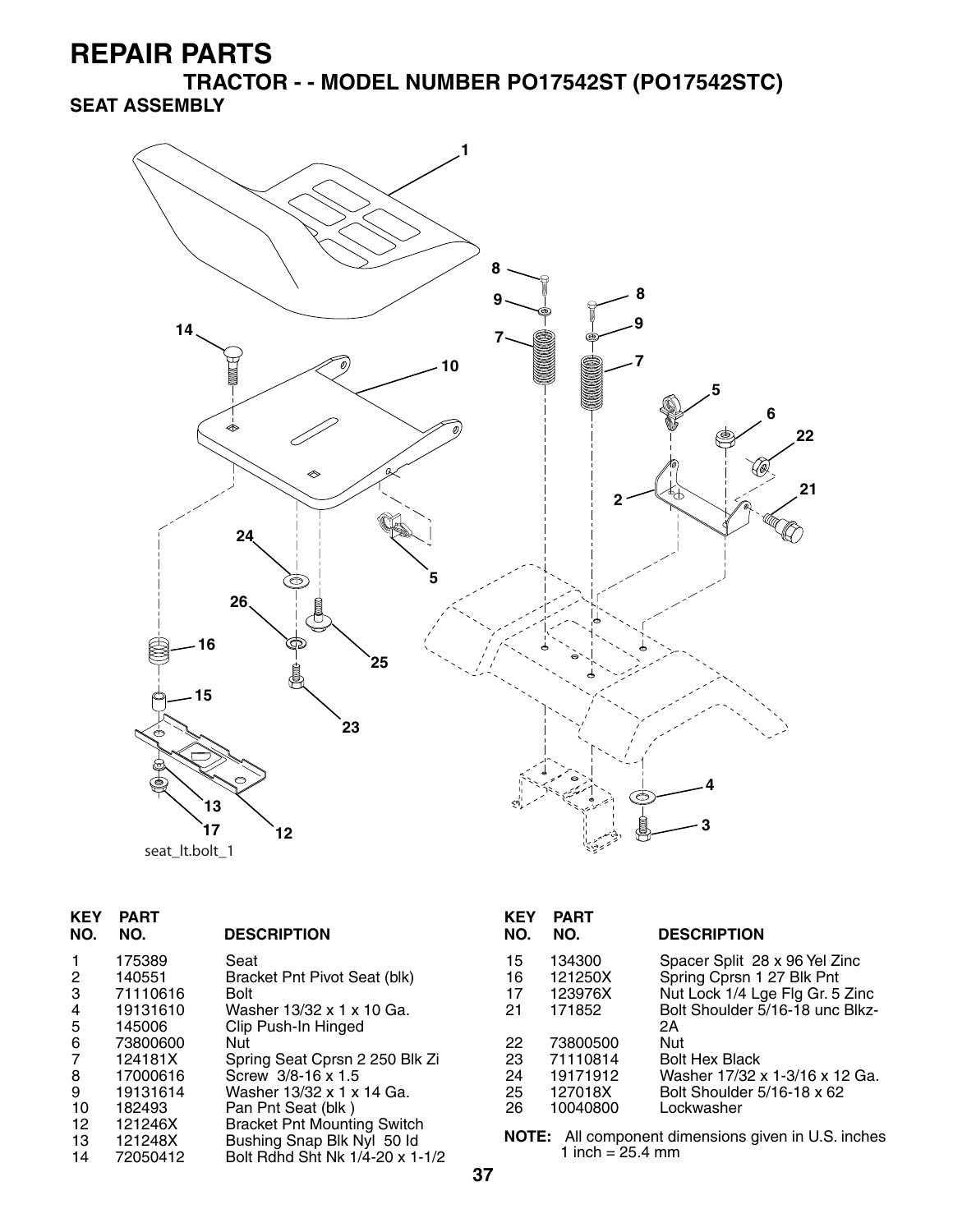**TRACTOR - - MODEL NUMBER PO17542ST (PO17542STC) SEAT ASSEMBLY**



| seat It.bolt 1 |  |  |  |
|----------------|--|--|--|
|----------------|--|--|--|

| <b>KEY</b><br>NO. | <b>PART</b><br>NO. | <b>DESCRIPTION</b>                 | <b>KEY</b><br>NO. | <b>PART</b><br>NO.         | <b>DESCRIPTION</b>                                  |
|-------------------|--------------------|------------------------------------|-------------------|----------------------------|-----------------------------------------------------|
|                   | 175389             | Seat                               | 15                | 134300                     | Spacer Split 28 x 96 Yel Zinc                       |
| $\overline{2}$    | 140551             | Bracket Pnt Pivot Seat (blk)       | 16                | 121250X                    | Spring Cprsn 1 27 Blk Pnt                           |
| 3                 | 71110616           | <b>Bolt</b>                        | 17                | 123976X                    | Nut Lock 1/4 Lge Flg Gr. 5 Zinc                     |
| 4                 | 19131610           | Washer 13/32 x 1 x 10 Ga.          | 21                | 171852                     | Bolt Shoulder 5/16-18 unc Blkz-                     |
| 5                 | 145006             | Clip Push-In Hinged                |                   |                            | 2Α                                                  |
| 6                 | 73800600           | Nut                                | 22                | 73800500                   | Nut                                                 |
| 7                 | 124181X            | Spring Seat Cprsn 2 250 Blk Zi     | 23                | 71110814                   | <b>Bolt Hex Black</b>                               |
| 8                 | 17000616           | Screw 3/8-16 x 1.5                 | 24                | 19171912                   | Washer 17/32 x 1-3/16 x 12 Ga.                      |
| 9                 | 19131614           | Washer 13/32 x 1 x 14 Ga.          | 25                | 127018X                    | Bolt Shoulder 5/16-18 x 62                          |
| 10                | 182493             | Pan Pnt Seat (blk)                 | 26                | 10040800                   | Lockwasher                                          |
| 12                | 121246X            | <b>Bracket Pnt Mounting Switch</b> |                   |                            |                                                     |
| 13                | 121248X            | Bushing Snap Blk Nyl 50 ld         |                   |                            | NOTE: All component dimensions given in U.S. inches |
| 14                | 72050412           | Bolt Rdhd Sht Nk 1/4-20 x 1-1/2    |                   | 1 inch = $25.4 \text{ mm}$ |                                                     |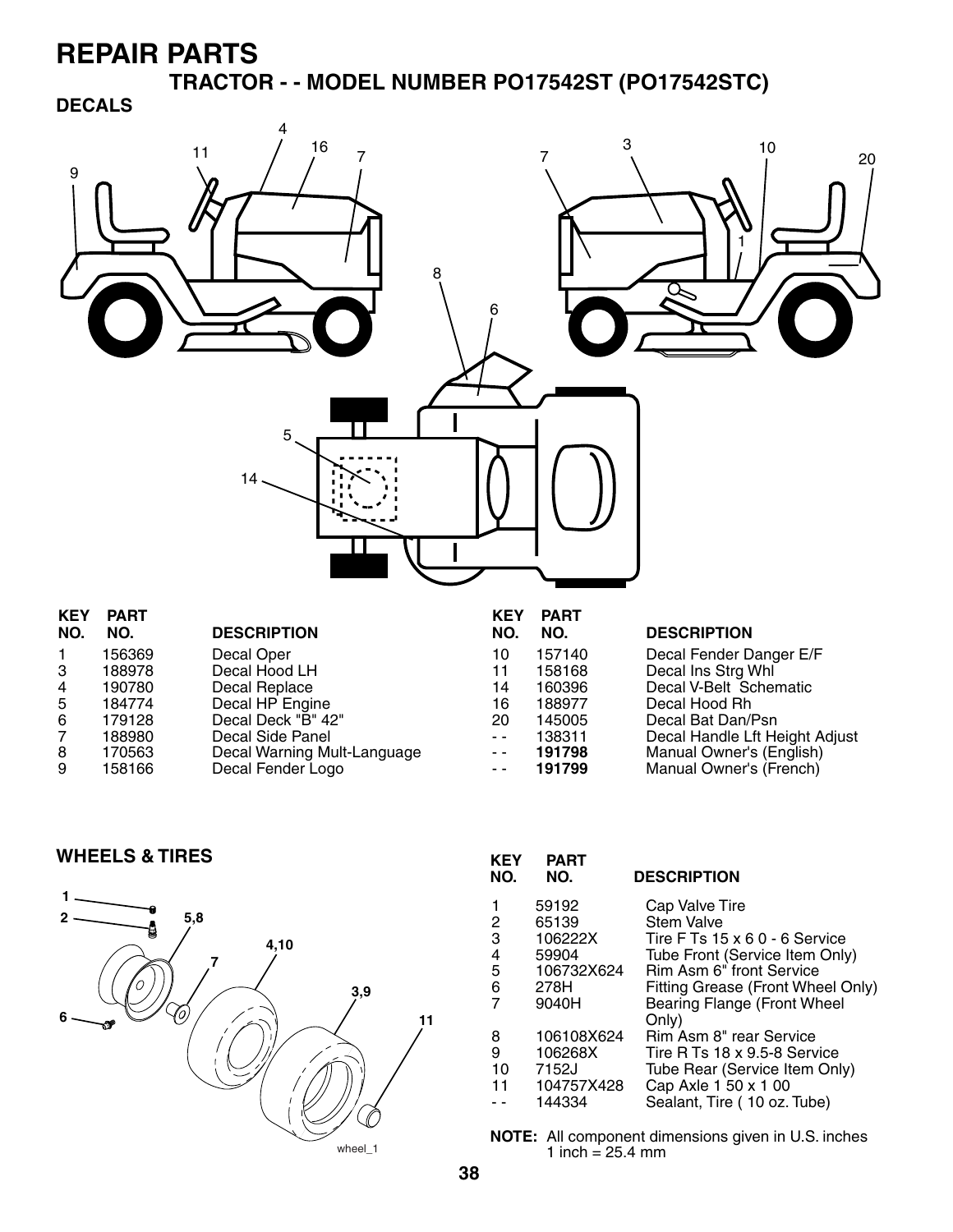**TRACTOR - - MODEL NUMBER PO17542ST (PO17542STC)**

#### **DECALS**



| <b>KEY</b> | <b>PART</b> |                             | <b>KEY</b> | <b>PART</b> |                                |
|------------|-------------|-----------------------------|------------|-------------|--------------------------------|
| NO.        | NO.         | <b>DESCRIPTION</b>          | NO.        | NO.         | <b>DESCRIPTION</b>             |
|            | 156369      | Decal Oper                  | 10         | 157140      | Decal Fender Danger E/F        |
| 3          | 188978      | Decal Hood LH               | 11         | 158168      | Decal Ins Strg Whl             |
| 4          | 190780      | Decal Replace               | 14         | 160396      | Decal V-Belt Schematic         |
| 5          | 184774      | Decal HP Engine             | 16         | 188977      | Decal Hood Rh                  |
| 6          | 179128      | Decal Deck "B" 42"          | 20         | 145005      | Decal Bat Dan/Psn              |
| 7          | 188980      | Decal Side Panel            | $ -$       | 138311      | Decal Handle Lft Height Adjust |
| 8          | 170563      | Decal Warning Mult-Language | $ -$       | 191798      | Manual Owner's (English)       |
| 9          | 158166      | Decal Fender Logo           |            | 191799      | Manual Owner's (French)        |
|            |             |                             |            |             |                                |

#### **WHEELS & TIRES**



| <b>KEY</b><br>NO.     | PART<br>NO.                                                       | <b>DESCRIPTION</b>                                                                                                                                                                                     |
|-----------------------|-------------------------------------------------------------------|--------------------------------------------------------------------------------------------------------------------------------------------------------------------------------------------------------|
| 2<br>3<br>4<br>5<br>6 | 59192<br>65139<br>106222X<br>59904<br>106732X624<br>278H<br>9040H | Cap Valve Tire<br>Stem Valve<br>Tire F Ts $15 \times 60 - 6$ Service<br>Tube Front (Service Item Only)<br>Rim Asm 6" front Service<br>Fitting Grease (Front Wheel Only)<br>Bearing Flange (Front Wheel |
| 8<br>9<br>10<br>11    | 106108X624<br>106268X<br>7152J<br>104757X428<br>144334            | Only)<br>Rim Asm 8" rear Service<br>Tire R Ts 18 x 9.5-8 Service<br>Tube Rear (Service Item Only)<br>Cap Axle 1 50 x 1 00<br>Sealant, Tire (10 oz. Tube)                                               |

**NOTE:** All component dimensions given in U.S. inches 1 inch  $= 25.4$  mm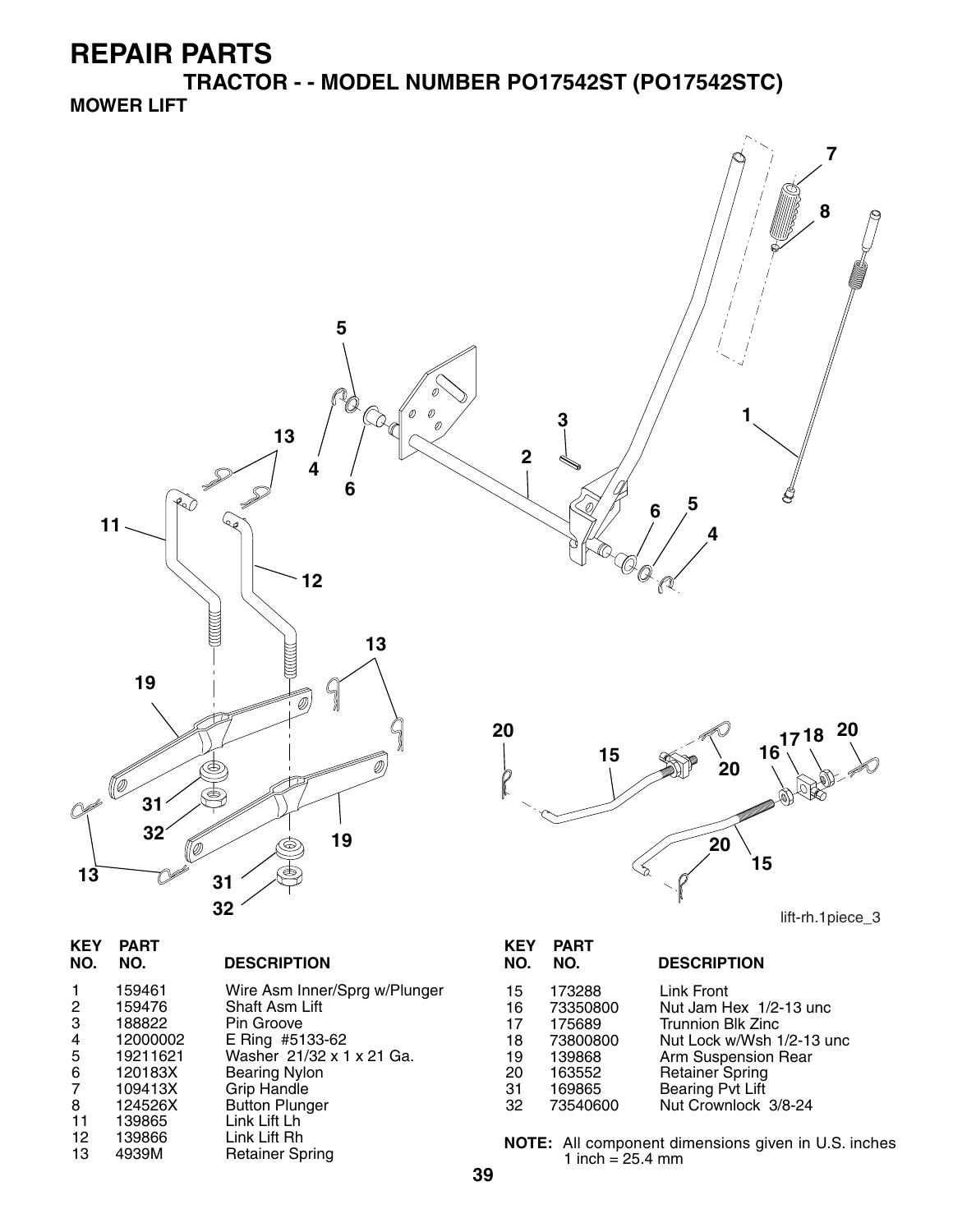**TRACTOR - - MODEL NUMBER PO17542ST (PO17542STC) MOWER LIFT**



| 3 | 188822     | Pin Groove      |
|---|------------|-----------------|
| 4 | 12000002   | E Ring #5133-62 |
|   | ,,,,,,,,,, | $\mathbf{M}$    |

- 19211621 Washer 21/32 x 1 x 21 Ga.<br>120183X Bearing Nylon
- 120183X Bearing Nylon<br>109413X Grip Handle
- 109413X Grip Handle<br>124526X Button Plung
- 8 124526X Button Plunger<br>11 139865 Link Lift Lh
- 11 139865 Link Lift Lh
- 12 139866 Link Lift Rh<br>13 4939M Retainer Spring

NOTE: All component dimensions given in U.S. inches 1 inch =  $25.4 \, \text{mm}$ 

18 73800800 Nut Lock w/Wsh 1/2-13 unc<br>19 139868 Arm Suspension Rear 19 139868 Arm Suspension Rear<br>20 163552 Retainer Spring 20 163552 Retainer Spring 31 169865 Bearing Pvt Lift 32 73540600 Nut Crownlock 3/8-24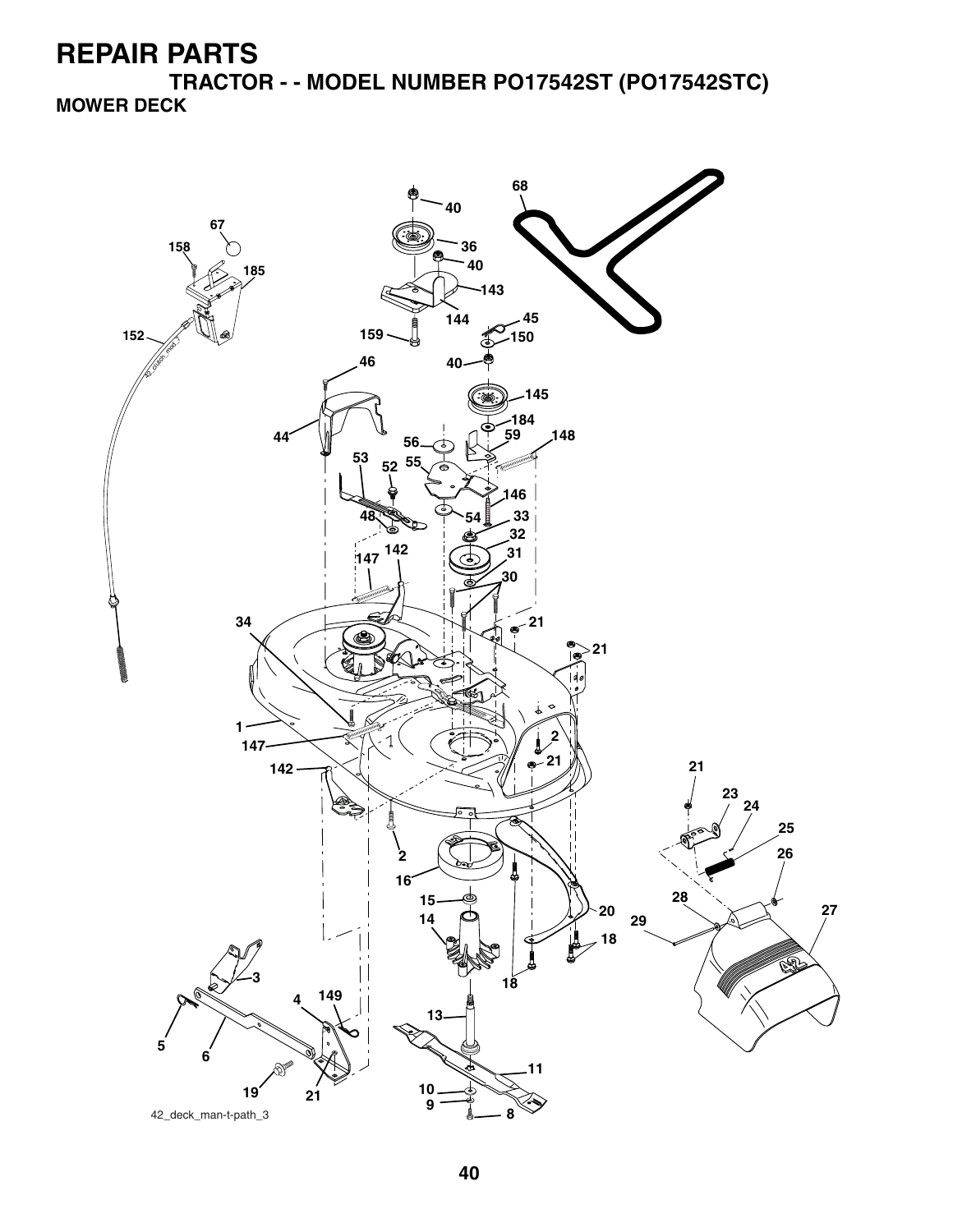**TRACTOR - - MODEL NUMBER PO17542ST (PO17542STC) MOWER DECK**